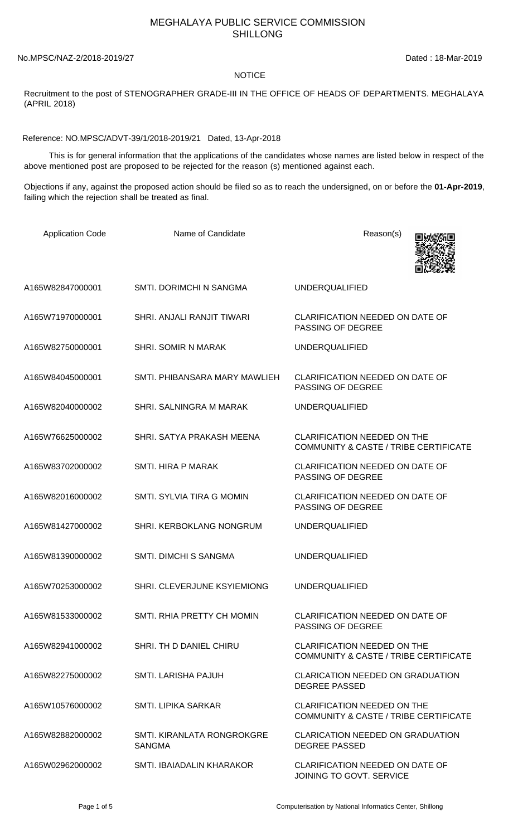## MEGHALAYA PUBLIC SERVICE COMMISSION SHILLONG

No.MPSC/NAZ-2/2018-2019/27 Dated : 18-Mar-2019

## **NOTICE**

Recruitment to the post of STENOGRAPHER GRADE-III IN THE OFFICE OF HEADS OF DEPARTMENTS. MEGHALAYA (APRIL 2018)

Reference: NO.MPSC/ADVT-39/1/2018-2019/21 Dated, 13-Apr-2018

 This is for general information that the applications of the candidates whose names are listed below in respect of the above mentioned post are proposed to be rejected for the reason (s) mentioned against each.

Objections if any, against the proposed action should be filed so as to reach the undersigned, on or before the **01-Apr-2019**, failing which the rejection shall be treated as final.

| <b>Application Code</b> | Name of Candidate                           | Reason(s)                                                                              |
|-------------------------|---------------------------------------------|----------------------------------------------------------------------------------------|
| A165W82847000001        | SMTI. DORIMCHI N SANGMA                     | <b>UNDERQUALIFIED</b>                                                                  |
| A165W71970000001        | SHRI. ANJALI RANJIT TIWARI                  | CLARIFICATION NEEDED ON DATE OF<br>PASSING OF DEGREE                                   |
| A165W82750000001        | <b>SHRI. SOMIR N MARAK</b>                  | <b>UNDERQUALIFIED</b>                                                                  |
| A165W84045000001        | SMTI. PHIBANSARA MARY MAWLIEH               | CLARIFICATION NEEDED ON DATE OF<br>PASSING OF DEGREE                                   |
| A165W82040000002        | SHRI. SALNINGRA M MARAK                     | <b>UNDERQUALIFIED</b>                                                                  |
| A165W76625000002        | SHRI. SATYA PRAKASH MEENA                   | <b>CLARIFICATION NEEDED ON THE</b><br><b>COMMUNITY &amp; CASTE / TRIBE CERTIFICATE</b> |
| A165W83702000002        | SMTI. HIRA P MARAK                          | CLARIFICATION NEEDED ON DATE OF<br>PASSING OF DEGREE                                   |
| A165W82016000002        | SMTI, SYLVIA TIRA G MOMIN                   | CLARIFICATION NEEDED ON DATE OF<br>PASSING OF DEGREE                                   |
| A165W81427000002        | SHRI. KERBOKLANG NONGRUM                    | <b>UNDERQUALIFIED</b>                                                                  |
| A165W81390000002        | SMTI. DIMCHI S SANGMA                       | <b>UNDERQUALIFIED</b>                                                                  |
| A165W70253000002        | SHRI. CLEVERJUNE KSYIEMIONG                 | <b>UNDERQUALIFIED</b>                                                                  |
| A165W81533000002        | SMTL RHIA PRETTY CH MOMIN                   | <b>CLARIFICATION NEEDED ON DATE OF</b><br><b>PASSING OF DEGREE</b>                     |
| A165W82941000002        | SHRI. TH D DANIEL CHIRU                     | <b>CLARIFICATION NEEDED ON THE</b><br><b>COMMUNITY &amp; CASTE / TRIBE CERTIFICATE</b> |
| A165W82275000002        | SMTI. LARISHA PAJUH                         | <b>CLARICATION NEEDED ON GRADUATION</b><br><b>DEGREE PASSED</b>                        |
| A165W10576000002        | <b>SMTI. LIPIKA SARKAR</b>                  | <b>CLARIFICATION NEEDED ON THE</b><br><b>COMMUNITY &amp; CASTE / TRIBE CERTIFICATE</b> |
| A165W82882000002        | SMTI, KIRANLATA RONGROKGRE<br><b>SANGMA</b> | <b>CLARICATION NEEDED ON GRADUATION</b><br><b>DEGREE PASSED</b>                        |
| A165W02962000002        | SMTI. IBAIADALIN KHARAKOR                   | CLARIFICATION NEEDED ON DATE OF<br>JOINING TO GOVT. SERVICE                            |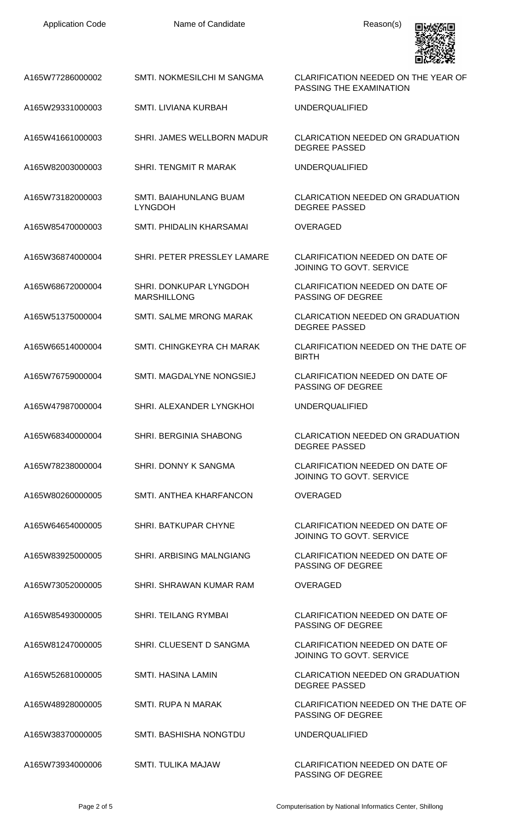| <b>Application Code</b> | Name of Candidate                            | Reason(s)                                                          |
|-------------------------|----------------------------------------------|--------------------------------------------------------------------|
| A165W77286000002        | SMTI. NOKMESILCHI M SANGMA                   | CLARIFICATION NEEDED ON THE YEAR OF<br>PASSING THE EXAMINATION     |
| A165W29331000003        | SMTI. LIVIANA KURBAH                         | <b>UNDERQUALIFIED</b>                                              |
| A165W41661000003        | SHRI. JAMES WELLBORN MADUR                   | <b>CLARICATION NEEDED ON GRADUATION</b><br><b>DEGREE PASSED</b>    |
| A165W82003000003        | <b>SHRI. TENGMIT R MARAK</b>                 | <b>UNDERQUALIFIED</b>                                              |
| A165W73182000003        | SMTI. BAIAHUNLANG BUAM<br><b>LYNGDOH</b>     | <b>CLARICATION NEEDED ON GRADUATION</b><br><b>DEGREE PASSED</b>    |
| A165W85470000003        | SMTI. PHIDALIN KHARSAMAI                     | <b>OVERAGED</b>                                                    |
| A165W36874000004        | SHRI. PETER PRESSLEY LAMARE                  | <b>CLARIFICATION NEEDED ON DATE OF</b><br>JOINING TO GOVT. SERVICE |
| A165W68672000004        | SHRI. DONKUPAR LYNGDOH<br><b>MARSHILLONG</b> | CLARIFICATION NEEDED ON DATE OF<br>PASSING OF DEGREE               |
| A165W51375000004        | SMTI. SALME MRONG MARAK                      | CLARICATION NEEDED ON GRADUATION<br><b>DEGREE PASSED</b>           |
| A165W66514000004        | SMTI. CHINGKEYRA CH MARAK                    | CLARIFICATION NEEDED ON THE DATE OF<br><b>BIRTH</b>                |
| A165W76759000004        | SMTI. MAGDALYNE NONGSIEJ                     | CLARIFICATION NEEDED ON DATE OF<br>PASSING OF DEGREE               |
| A165W47987000004        | SHRI. ALEXANDER LYNGKHOI                     | <b>UNDERQUALIFIED</b>                                              |
| A165W68340000004        | SHRI. BERGINIA SHABONG                       | <b>CLARICATION NEEDED ON GRADUATION</b><br><b>DEGREE PASSED</b>    |
| A165W78238000004        | <b>SHRI, DONNY K SANGMA</b>                  | <b>CLARIFICATION NEEDED ON DATE OF</b><br>JOINING TO GOVT. SERVICE |
| A165W80260000005        | SMTI. ANTHEA KHARFANCON                      | OVERAGED                                                           |
| A165W64654000005        | SHRI. BATKUPAR CHYNE                         | <b>CLARIFICATION NEEDED ON DATE OF</b><br>JOINING TO GOVT. SERVICE |
| A165W83925000005        | SHRI. ARBISING MALNGIANG                     | <b>CLARIFICATION NEEDED ON DATE OF</b><br><b>PASSING OF DEGREE</b> |
| A165W73052000005        | SHRI. SHRAWAN KUMAR RAM                      | OVERAGED                                                           |
| A165W85493000005        | <b>SHRI. TEILANG RYMBAI</b>                  | <b>CLARIFICATION NEEDED ON DATE OF</b><br><b>PASSING OF DEGREE</b> |
| A165W81247000005        | SHRI. CLUESENT D SANGMA                      | <b>CLARIFICATION NEEDED ON DATE OF</b><br>JOINING TO GOVT. SERVICE |
| A165W52681000005        | <b>SMTI. HASINA LAMIN</b>                    | <b>CLARICATION NEEDED ON GRADUATION</b><br><b>DEGREE PASSED</b>    |
| A165W48928000005        | <b>SMTI. RUPA N MARAK</b>                    | CLARIFICATION NEEDED ON THE DATE OF<br><b>PASSING OF DEGREE</b>    |
| A165W38370000005        | SMTI. BASHISHA NONGTDU                       | <b>UNDERQUALIFIED</b>                                              |
| A165W73934000006        | SMTI. TULIKA MAJAW                           | CLARIFICATION NEEDED ON DATE OF<br>PASSING OF DEGREE               |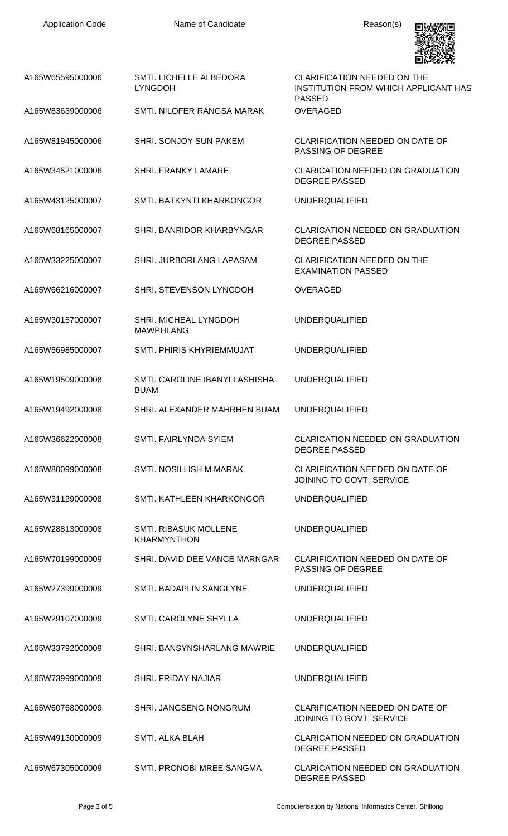

| A165W65595000006 | SMTI. LICHELLE ALBEDORA<br><b>LYNGDOH</b>    | CLARIFICATION NEEDED ON THE<br>INSTITUTION FROM WHICH APPLICANT HAS<br><b>PASSED</b> |
|------------------|----------------------------------------------|--------------------------------------------------------------------------------------|
| A165W83639000006 | SMTI. NILOFER RANGSA MARAK                   | OVERAGED                                                                             |
| A165W81945000006 | <b>SHRI. SONJOY SUN PAKEM</b>                | CLARIFICATION NEEDED ON DATE OF<br><b>PASSING OF DEGREE</b>                          |
| A165W34521000006 | <b>SHRI, FRANKY LAMARE</b>                   | <b>CLARICATION NEEDED ON GRADUATION</b><br><b>DEGREE PASSED</b>                      |
| A165W43125000007 | SMTI. BATKYNTI KHARKONGOR                    | <b>UNDERQUALIFIED</b>                                                                |
| A165W68165000007 | SHRI. BANRIDOR KHARBYNGAR                    | CLARICATION NEEDED ON GRADUATION<br><b>DEGREE PASSED</b>                             |
| A165W33225000007 | SHRI. JURBORLANG LAPASAM                     | <b>CLARIFICATION NEEDED ON THE</b><br><b>EXAMINATION PASSED</b>                      |
| A165W66216000007 | SHRI. STEVENSON LYNGDOH                      | <b>OVERAGED</b>                                                                      |
| A165W30157000007 | SHRI. MICHEAL LYNGDOH<br><b>MAWPHLANG</b>    | <b>UNDERQUALIFIED</b>                                                                |
| A165W56985000007 | SMTI, PHIRIS KHYRIEMMUJAT                    | <b>UNDERQUALIFIED</b>                                                                |
| A165W19509000008 | SMTI, CAROLINE IBANYLLASHISHA<br><b>BUAM</b> | <b>UNDERQUALIFIED</b>                                                                |
| A165W19492000008 | SHRI. ALEXANDER MAHRHEN BUAM                 | <b>UNDERQUALIFIED</b>                                                                |
| A165W36622000008 | SMTI. FAIRLYNDA SYIEM                        | CLARICATION NEEDED ON GRADUATION<br><b>DEGREE PASSED</b>                             |
| A165W80099000008 | SMTI. NOSILLISH M MARAK                      | CLARIFICATION NEEDED ON DATE OF<br>JOINING TO GOVT. SERVICE                          |
| A165W31129000008 | SMTI. KATHLEEN KHARKONGOR                    | <b>UNDERQUALIFIED</b>                                                                |
| A165W28813000008 | SMTI. RIBASUK MOLLENE<br><b>KHARMYNTHON</b>  | <b>UNDERQUALIFIED</b>                                                                |
| A165W70199000009 | SHRI. DAVID DEE VANCE MARNGAR                | CLARIFICATION NEEDED ON DATE OF<br>PASSING OF DEGREE                                 |
| A165W27399000009 | SMTI. BADAPLIN SANGLYNE                      | <b>UNDERQUALIFIED</b>                                                                |
| A165W29107000009 | SMTI. CAROLYNE SHYLLA                        | <b>UNDERQUALIFIED</b>                                                                |
| A165W33792000009 | SHRI. BANSYNSHARLANG MAWRIE                  | <b>UNDERQUALIFIED</b>                                                                |
| A165W73999000009 | <b>SHRI. FRIDAY NAJIAR</b>                   | <b>UNDERQUALIFIED</b>                                                                |
| A165W60768000009 | SHRI. JANGSENG NONGRUM                       | CLARIFICATION NEEDED ON DATE OF<br>JOINING TO GOVT. SERVICE                          |
| A165W49130000009 | <b>SMTI. ALKA BLAH</b>                       | <b>CLARICATION NEEDED ON GRADUATION</b><br><b>DEGREE PASSED</b>                      |
| A165W67305000009 | SMTI, PRONOBI MREE SANGMA                    | <b>CLARICATION NEEDED ON GRADUATION</b><br><b>DEGREE PASSED</b>                      |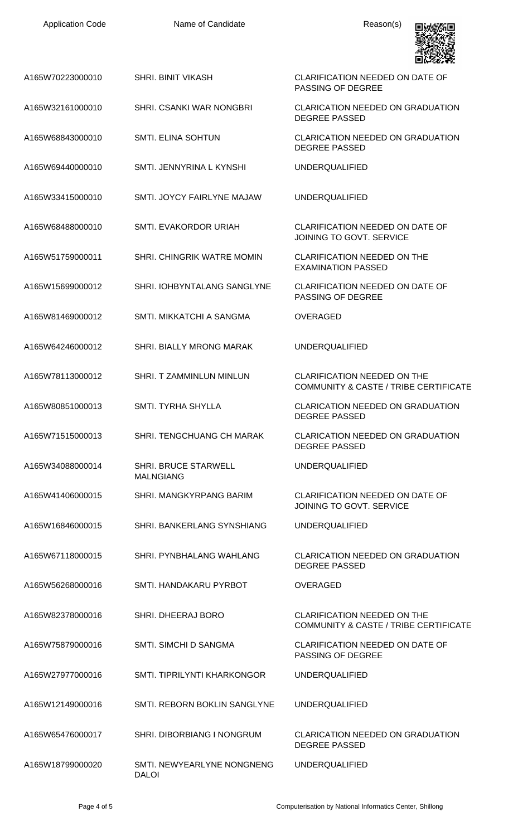Name of Candidate Reason(s)



| A165W70223000010 | <b>SHRI. BINIT VIKASH</b>                       | <b>CLARIFICATION NEEDED ON DATE OF</b><br><b>PASSING OF DEGREE</b>                     |
|------------------|-------------------------------------------------|----------------------------------------------------------------------------------------|
| A165W32161000010 | SHRI, CSANKI WAR NONGBRI                        | <b>CLARICATION NEEDED ON GRADUATION</b><br><b>DEGREE PASSED</b>                        |
| A165W68843000010 | <b>SMTI. ELINA SOHTUN</b>                       | <b>CLARICATION NEEDED ON GRADUATION</b><br><b>DEGREE PASSED</b>                        |
| A165W69440000010 | SMTI. JENNYRINA L KYNSHI                        | <b>UNDERQUALIFIED</b>                                                                  |
| A165W33415000010 | SMTI. JOYCY FAIRLYNE MAJAW                      | <b>UNDERQUALIFIED</b>                                                                  |
| A165W68488000010 | SMTI. EVAKORDOR URIAH                           | <b>CLARIFICATION NEEDED ON DATE OF</b><br>JOINING TO GOVT. SERVICE                     |
| A165W51759000011 | SHRI. CHINGRIK WATRE MOMIN                      | <b>CLARIFICATION NEEDED ON THE</b><br><b>EXAMINATION PASSED</b>                        |
| A165W15699000012 | SHRI. IOHBYNTALANG SANGLYNE                     | <b>CLARIFICATION NEEDED ON DATE OF</b><br><b>PASSING OF DEGREE</b>                     |
| A165W81469000012 | SMTI. MIKKATCHI A SANGMA                        | <b>OVERAGED</b>                                                                        |
| A165W64246000012 | SHRI. BIALLY MRONG MARAK                        | <b>UNDERQUALIFIED</b>                                                                  |
| A165W78113000012 | SHRI. T ZAMMINLUN MINLUN                        | <b>CLARIFICATION NEEDED ON THE</b><br><b>COMMUNITY &amp; CASTE / TRIBE CERTIFICATE</b> |
| A165W80851000013 | <b>SMTI. TYRHA SHYLLA</b>                       | <b>CLARICATION NEEDED ON GRADUATION</b><br><b>DEGREE PASSED</b>                        |
| A165W71515000013 | SHRI. TENGCHUANG CH MARAK                       | <b>CLARICATION NEEDED ON GRADUATION</b><br><b>DEGREE PASSED</b>                        |
| A165W34088000014 | <b>SHRI. BRUCE STARWELL</b><br><b>MALNGIANG</b> | <b>UNDERQUALIFIED</b>                                                                  |
| A165W41406000015 | SHRI. MANGKYRPANG BARIM                         | <b>CLARIFICATION NEEDED ON DATE OF</b><br>JOINING TO GOVT. SERVICE                     |
| A165W16846000015 | SHRI. BANKERLANG SYNSHIANG                      | <b>UNDERQUALIFIED</b>                                                                  |
| A165W67118000015 | SHRI. PYNBHALANG WAHLANG                        | <b>CLARICATION NEEDED ON GRADUATION</b><br><b>DEGREE PASSED</b>                        |
| A165W56268000016 | SMTI. HANDAKARU PYRBOT                          | <b>OVERAGED</b>                                                                        |
| A165W82378000016 | SHRI. DHEERAJ BORO                              | <b>CLARIFICATION NEEDED ON THE</b><br><b>COMMUNITY &amp; CASTE / TRIBE CERTIFICATE</b> |
| A165W75879000016 | <b>SMTI. SIMCHI D SANGMA</b>                    | <b>CLARIFICATION NEEDED ON DATE OF</b><br>PASSING OF DEGREE                            |
| A165W27977000016 | SMTI. TIPRILYNTI KHARKONGOR                     | <b>UNDERQUALIFIED</b>                                                                  |
| A165W12149000016 | SMTI. REBORN BOKLIN SANGLYNE                    | <b>UNDERQUALIFIED</b>                                                                  |
| A165W65476000017 | SHRI. DIBORBIANG I NONGRUM                      | <b>CLARICATION NEEDED ON GRADUATION</b><br><b>DEGREE PASSED</b>                        |
| A165W18799000020 | SMTI. NEWYEARLYNE NONGNENG<br><b>DALOI</b>      | <b>UNDERQUALIFIED</b>                                                                  |
|                  |                                                 |                                                                                        |